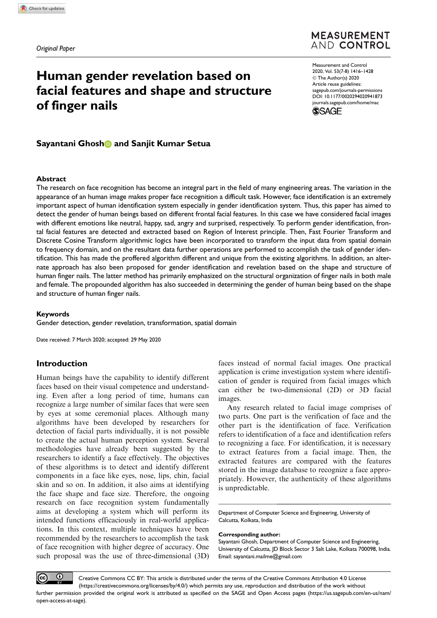## **MEASUREMENT** AND CONTROL

# Human gender revelation based on facial features and shape and structure of finger nails

Measurement and Control 2020, Vol. 53(7-8) 1416–1428 © The Author(s) 2020 Article reuse guidelines: sagepub.com/journals-permissions DOI: 10.1177/0020294020941873 journals.sagepub.com/home/mac



## Sayantani Ghosh and Sanjit Kumar Setua

#### Abstract

The research on face recognition has become an integral part in the field of many engineering areas. The variation in the appearance of an human image makes proper face recognition a difficult task. However, face identification is an extremely important aspect of human identification system especially in gender identification system. Thus, this paper has aimed to detect the gender of human beings based on different frontal facial features. In this case we have considered facial images with different emotions like neutral, happy, sad, angry and surprised, respectively. To perform gender identification, frontal facial features are detected and extracted based on Region of Interest principle. Then, Fast Fourier Transform and Discrete Cosine Transform algorithmic logics have been incorporated to transform the input data from spatial domain to frequency domain, and on the resultant data further operations are performed to accomplish the task of gender identification. This has made the proffered algorithm different and unique from the existing algorithms. In addition, an alternate approach has also been proposed for gender identification and revelation based on the shape and structure of human finger nails. The latter method has primarily emphasized on the structural organization of finger nails in both male and female. The propounded algorithm has also succeeded in determining the gender of human being based on the shape and structure of human finger nails.

#### Keywords

Gender detection, gender revelation, transformation, spatial domain

Date received: 7 March 2020; accepted: 29 May 2020

#### Introduction

Human beings have the capability to identify different faces based on their visual competence and understanding. Even after a long period of time, humans can recognize a large number of similar faces that were seen by eyes at some ceremonial places. Although many algorithms have been developed by researchers for detection of facial parts individually, it is not possible to create the actual human perception system. Several methodologies have already been suggested by the researchers to identify a face effectively. The objectives of these algorithms is to detect and identify different components in a face like eyes, nose, lips, chin, facial skin and so on. In addition, it also aims at identifying the face shape and face size. Therefore, the ongoing research on face recognition system fundamentally aims at developing a system which will perform its intended functions efficaciously in real-world applications. In this context, multiple techniques have been recommended by the researchers to accomplish the task of face recognition with higher degree of accuracy. One such proposal was the use of three-dimensional (3D)

faces instead of normal facial images. One practical application is crime investigation system where identification of gender is required from facial images which can either be two-dimensional (2D) or 3D facial images.

Any research related to facial image comprises of two parts. One part is the verification of face and the other part is the identification of face. Verification refers to identification of a face and identification refers to recognizing a face. For identification, it is necessary to extract features from a facial image. Then, the extracted features are compared with the features stored in the image database to recognize a face appropriately. However, the authenticity of these algorithms is unpredictable.

Department of Computer Science and Engineering, University of Calcutta, Kolkata, India

#### Corresponding author:

Sayantani Ghosh, Department of Computer Science and Engineering, University of Calcutta, JD Block Sector 3 Salt Lake, Kolkata 700098, India. Email: sayantani.mailme@gmail.com

Creative Commons CC BY: This article is distributed under the terms of the Creative Commons Attribution 4.0 License (https://creativecommons.org/licenses/by/4.0/) which permits any use, reproduction and distribution of the work without further permission provided the original work is attributed as specified on the SAGE and Open Access pages (https://us.sagepub.com/en-us/nam/ open-access-at-sage).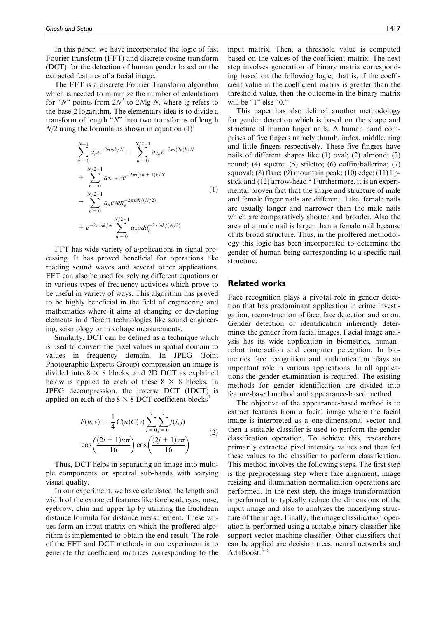In this paper, we have incorporated the logic of fast Fourier transform (FFT) and discrete cosine transform (DCT) for the detection of human gender based on the extracted features of a facial image.

The FFT is a discrete Fourier Transform algorithm which is needed to minimize the number of calculations for "N" points from  $2N^2$  to 2Nlg N, where lg refers to the base-2 logarithm. The elementary idea is to divide a transform of length " $N$ " into two transforms of length  $N/2$  using the formula as shown in equation  $(1)^{1}$ 

$$
\sum_{n=0}^{N-1} a_n e^{-2\pi i n k/N} = \sum_{n=0}^{N/2-1} a_{2n} e^{-2\pi i (2n) k/N}
$$
  
+ 
$$
\sum_{n=0}^{N/2-1} a_{2n+1} e^{-2\pi i (2n+1) k/N}
$$
  
= 
$$
\sum_{n=0}^{N/2-1} a_n e^{2\pi i n k/(N/2)}
$$
  
+ 
$$
e^{-2\pi i n k/N} \sum_{n=0}^{N/2-1} a_n o d d_e^{-2\pi i n k/(N/2)}
$$
 (1)

FFT has wide variety of a\pplications in signal processing. It has proved beneficial for operations like reading sound waves and several other applications. FFT can also be used for solving different equations or in various types of frequency activities which prove to be useful in variety of ways. This algorithm has proved to be highly beneficial in the field of engineering and mathematics where it aims at changing or developing elements in different technologies like sound engineering, seismology or in voltage measurements.

Similarly, DCT can be defined as a technique which is used to convert the pixel values in spatial domain to values in frequency domain. In JPEG (Joint Photographic Experts Group) compression an image is divided into  $8 \times 8$  blocks, and 2D DCT as explained below is applied to each of these  $8 \times 8$  blocks. In JPEG decompression, the inverse DCT (IDCT) is applied on each of the  $8 \times 8$  DCT coefficient blocks<sup>1</sup>

$$
F(u, v) = \frac{1}{4}C(u)C(v)\sum_{i=0}^{7} \sum_{j=0}^{7} f(i,j)
$$

$$
\cos\left(\frac{(2i+1)u\pi}{16}\right)\cos\left(\frac{(2j+1)v\pi}{16}\right)
$$
(2)

Thus, DCT helps in separating an image into multiple components or spectral sub-bands with varying visual quality.

In our experiment, we have calculated the length and width of the extracted features like forehead, eyes, nose, eyebrow, chin and upper lip by utilizing the Euclidean distance formula for distance measurement. These values form an input matrix on which the proffered algorithm is implemented to obtain the end result. The role of the FFT and DCT methods in our experiment is to generate the coefficient matrices corresponding to the input matrix. Then, a threshold value is computed based on the values of the coefficient matrix. The next step involves generation of binary matrix corresponding based on the following logic, that is, if the coefficient value in the coefficient matrix is greater than the threshold value, then the outcome in the binary matrix will be "1" else "0."

This paper has also defined another methodology for gender detection which is based on the shape and structure of human finger nails. A human hand comprises of five fingers namely thumb, index, middle, ring and little fingers respectively. These five fingers have nails of different shapes like (1) oval; (2) almond; (3) round; (4) square; (5) stiletto; (6) coffin/ballerina; (7) squoval; (8) flare; (9) mountain peak; (10) edge; (11) lipstick and  $(12)$  arrow-head.<sup>2</sup> Furthermore, it is an experimental proven fact that the shape and structure of male and female finger nails are different. Like, female nails are usually longer and narrower than the male nails which are comparatively shorter and broader. Also the area of a male nail is larger than a female nail because of its broad structure. Thus, in the proffered methodology this logic has been incorporated to determine the gender of human being corresponding to a specific nail structure.

#### Related works

Face recognition plays a pivotal role in gender detection that has predominant application in crime investigation, reconstruction of face, face detection and so on. Gender detection or identification inherently determines the gender from facial images. Facial image analysis has its wide application in biometrics, human– robot interaction and computer perception. In biometrics face recognition and authentication plays an important role in various applications. In all applications the gender examination is required. The existing methods for gender identification are divided into feature-based method and appearance-based method.

The objective of the appearance-based method is to extract features from a facial image where the facial image is interpreted as a one-dimensional vector and then a suitable classifier is used to perform the gender classification operation. To achieve this, researchers primarily extracted pixel intensity values and then fed these values to the classifier to perform classification. This method involves the following steps. The first step is the preprocessing step where face alignment, image resizing and illumination normalization operations are performed. In the next step, the image transformation is performed to typically reduce the dimensions of the input image and also to analyzes the underlying structure of the image. Finally, the image classification operation is performed using a suitable binary classifier like support vector machine classifier. Other classifiers that can be applied are decision trees, neural networks and AdaBoost.3–6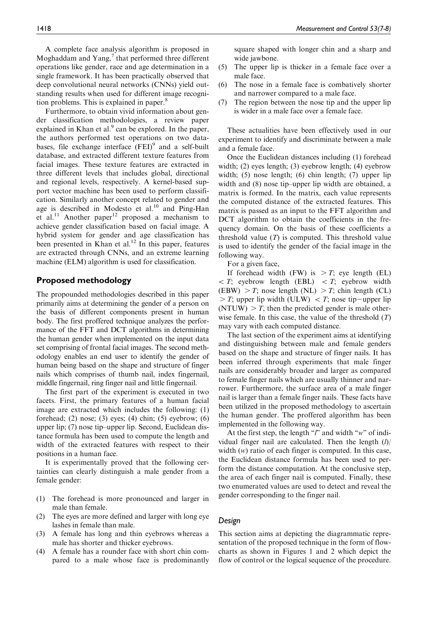A complete face analysis algorithm is proposed in Moghaddam and  $Yang$ , that performed three different operations like gender, race and age determination in a single framework. It has been practically observed that deep convolutional neural networks (CNNs) yield outstanding results when used for different image recognition problems. This is explained in paper.<sup>8</sup>

Furthermore, to obtain vivid information about gender classification methodologies, a review paper explained in Khan et al. $9$  can be explored. In the paper, the authors performed test operations on two databases, file exchange interface (FEI)<sup>9</sup> and a self-built database, and extracted different texture features from facial images. These texture features are extracted in three different levels that includes global, directional and regional levels, respectively. A kernel-based support vector machine has been used to perform classification. Similarly another concept related to gender and age is described in Modesto et al.<sup>10</sup> and Ping-Han et al.<sup>11</sup> Another paper<sup>12</sup> proposed a mechanism to achieve gender classification based on facial image. A hybrid system for gender and age classification has been presented in Khan et al.<sup>12</sup> In this paper, features are extracted through CNNs, and an extreme learning machine (ELM) algorithm is used for classification.

### Proposed methodology

The propounded methodologies described in this paper primarily aims at determining the gender of a person on the basis of different components present in human body. The first proffered technique analyzes the performance of the FFT and DCT algorithms in determining the human gender when implemented on the input data set comprising of frontal facial images. The second methodology enables an end user to identify the gender of human being based on the shape and structure of finger nails which comprises of thumb nail, index fingernail, middle fingernail, ring finger nail and little fingernail.

The first part of the experiment is executed in two facets. First, the primary features of a human facial image are extracted which includes the following: (1) forehead; (2) nose; (3) eyes; (4) chin; (5) eyebrow; (6) upper lip; (7) nose tip–upper lip. Second, Euclidean distance formula has been used to compute the length and width of the extracted features with respect to their positions in a human face.

It is experimentally proved that the following certainties can clearly distinguish a male gender from a female gender:

- (1) The forehead is more pronounced and larger in male than female.
- (2) The eyes are more defined and larger with long eye lashes in female than male.
- (3) A female has long and thin eyebrows whereas a male has shorter and thicker eyebrows.
- (4) A female has a rounder face with short chin compared to a male whose face is predominantly

square shaped with longer chin and a sharp and wide jawbone.

- (5) The upper lip is thicker in a female face over a male face.
- (6) The nose in a female face is combatively shorter and narrower compared to a male face.
- (7) The region between the nose tip and the upper lip is wider in a male face over a female face.

These actualities have been effectively used in our experiment to identify and discriminate between a male and a female face.

Once the Euclidean distances including (1) forehead width; (2) eyes length; (3) eyebrow length; (4) eyebrow width; (5) nose length; (6) chin length; (7) upper lip width and (8) nose tip–upper lip width are obtained, a matrix is formed. In the matrix, each value represents the computed distance of the extracted features. This matrix is passed as an input to the FFT algorithm and DCT algorithm to obtain the coefficients in the frequency domain. On the basis of these coefficients a threshold value  $(T)$  is computed. This threshold value is used to identify the gender of the facial image in the following way.

For a given face,

If forehead width (FW) is  $\geq T$ ; eye length (EL)  $\langle T;$  eyebrow length (EBL)  $\langle T;$  eyebrow width (EBW)  $>T$ ; nose length (NL)  $>T$ ; chin length (CL)  $>$  T; upper lip width (ULW)  $<$  T; nose tip-upper lip  $(NTUW) > T$ , then the predicted gender is male otherwise female. In this case, the value of the threshold  $(T)$ may vary with each computed distance.

The last section of the experiment aims at identifying and distinguishing between male and female genders based on the shape and structure of finger nails. It has been inferred through experiments that male finger nails are considerably broader and larger as compared to female finger nails which are usually thinner and narrower. Furthermore, the surface area of a male finger nail is larger than a female finger nails. These facts have been utilized in the proposed methodology to ascertain the human gender. The proffered algorithm has been implemented in the following way.

At the first step, the length " $l$ " and width " $w$ " of individual finger nail are calculated. Then the length  $(l)$ width (w) ratio of each finger is computed. In this case, the Euclidean distance formula has been used to perform the distance computation. At the conclusive step, the area of each finger nail is computed. Finally, these two enumerated values are used to detect and reveal the gender corresponding to the finger nail.

#### Design

This section aims at depicting the diagrammatic representation of the proposed technique in the form of flowcharts as shown in Figures 1 and 2 which depict the flow of control or the logical sequence of the procedure.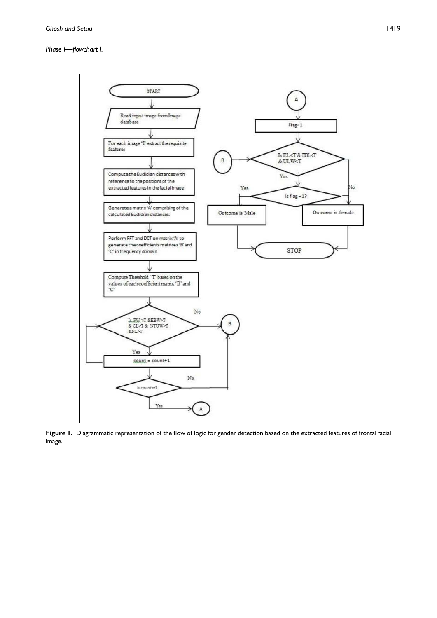#### Phase I—flowchart I.



Figure 1. Diagrammatic representation of the flow of logic for gender detection based on the extracted features of frontal facial image.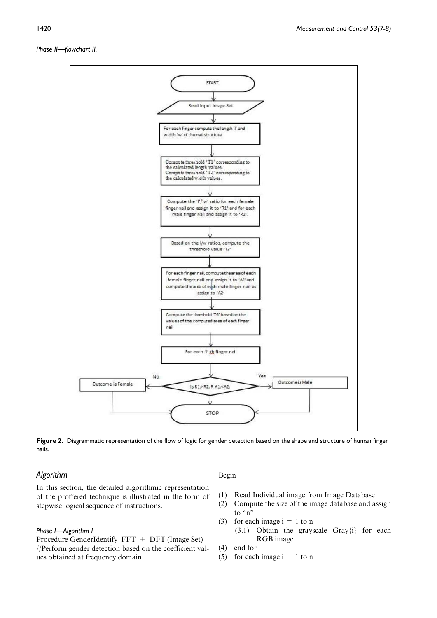#### Phase II—flowchart II.



Figure 2. Diagrammatic representation of the flow of logic for gender detection based on the shape and structure of human finger nails.

### Algorithm

In this section, the detailed algorithmic representation of the proffered technique is illustrated in the form of stepwise logical sequence of instructions.

#### Phase I—Algorithm I

Procedure GenderIdentify\_FFT + DFT (Image Set) //Perform gender detection based on the coefficient values obtained at frequency domain

#### Begin

- (1) Read Individual image from Image Database
- (2) Compute the size of the image database and assign to "n"
- (3) for each image  $i = 1$  to n (3.1) Obtain the grayscale Gray{i} for each RGB image
- (4) end for
- (5) for each image  $i = 1$  to n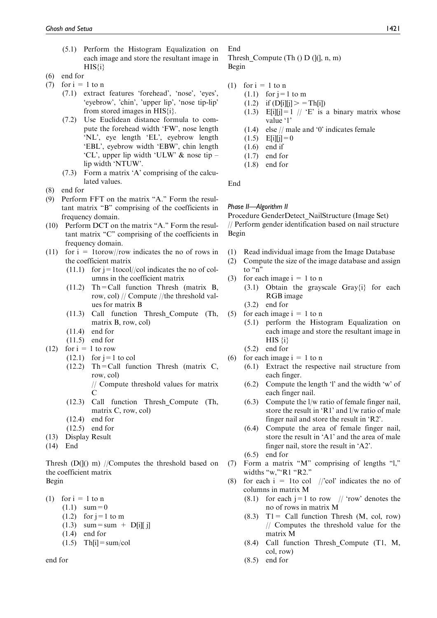- (5.1) Perform the Histogram Equalization on each image and store the resultant image in HIS{i}
- (6) end for
- (7) for  $i = 1$  to n
	- (7.1) extract features 'forehead', 'nose', 'eyes', 'eyebrow', 'chin', 'upper lip', 'nose tip-lip' from stored images in HIS{i}.
	- (7.2) Use Euclidean distance formula to compute the forehead width 'FW', nose length 'NL', eye length 'EL', eyebrow length 'EBL', eyebrow width 'EBW', chin length 'CL', upper lip width 'ULW' & nose tip – lip width 'NTUW'.
	- (7.3) Form a matrix 'A' comprising of the calculated values.
- (8) end for
- (9) Perform FFT on the matrix "A." Form the resultant matrix ''B'' comprising of the coefficients in frequency domain.
- (10) Perform DCT on the matrix "A." Form the resultant matrix "C" comprising of the coefficients in frequency domain.
- (11) for  $i = 1$ torow//row indicates the no of rows in the coefficient matrix
	- $(11.1)$  for  $i = 1$ tocol//col indicates the no of columns in the coefficient matrix
	- $(11.2)$  Th=Call function Thresh (matrix B, row, col) // Compute //the threshold values for matrix B
	- (11.3) Call function Thresh\_Compute (Th, matrix B, row, col)
	- (11.4) end for
	- (11.5) end for
- (12) for  $i = 1$  to row
	- $(12.1)$  for  $j=1$  to col
	- (12.2) Th=Call function Thresh (matrix C, row, col)

// Compute threshold values for matrix C

- (12.3) Call function Thresh\_Compute (Th, matrix C, row, col)
- (12.4) end for
- (12.5) end for
- (13) Display Result
- (14) End

Thresh  $(D(0)$  m) //Computes the threshold based on the coefficient matrix Begin

(1) for  $i = 1$  to n

- $(1.1)$  sum = 0
- $(1.2)$  for j = 1 to m
- $(1.3)$  sum = sum + D[i][ j]
- (1.4) end for

 $(1.5)$  Th[i] = sum/col

end for

# End

Thresh\_Compute (Th  $($ ) D $($  $|$  $|$  $|$  $, n, m)$ Begin

- (1) for  $i = 1$  to n
	- $(1.1)$  for  $j=1$  to m
		- $(1.2)$  if  $(D[i][j] > T[h[i])$
		- (1.3) E[i][j] = 1 //  $E$  is a binary matrix whose value '1'
		- (1.4) else // male and '0' indicates female
		- $(1.5)$  E[i][j]=0
		- (1.6) end if
		- (1.7) end for
		- (1.8) end for

End

#### Phase II—Algorithm II

Procedure GenderDetect\_NailStructure (Image Set) // Perform gender identification based on nail structure Begin

- (1) Read individual image from the Image Database
- (2) Compute the size of the image database and assign to "n"
- (3) for each image  $i = 1$  to n
	- (3.1) Obtain the grayscale Gray{i} for each RGB image
	- (3.2) end for
- (5) for each image  $i = 1$  to n
	- (5.1) perform the Histogram Equalization on each image and store the resultant image in  $HIS \{i\}$
	- (5.2) end for
- (6) for each image  $i = 1$  to n
	- (6.1) Extract the respective nail structure from each finger.
	- (6.2) Compute the length 'l' and the width 'w' of each finger nail.
	- (6.3) Compute the l/w ratio of female finger nail, store the result in 'R1' and l/w ratio of male finger nail and store the result in 'R2'.
	- (6.4) Compute the area of female finger nail, store the result in 'A1' and the area of male finger nail, store the result in 'A2'.
	- (6.5) end for
- (7) Form a matrix "M" comprising of lengths "l," widths "w,"'R1 "R2."
- (8) for each  $i = 1$ to col //'col' indicates the no of columns in matrix M
	- (8.1) for each  $j=1$  to row // 'row' denotes the no of rows in matrix M
	- $(8.3)$  T1 = Call function Thresh  $(M, \text{col}, \text{row})$ // Computes the threshold value for the matrix M
	- (8.4) Call function Thresh\_Compute (T1, M, col, row)
	- (8.5) end for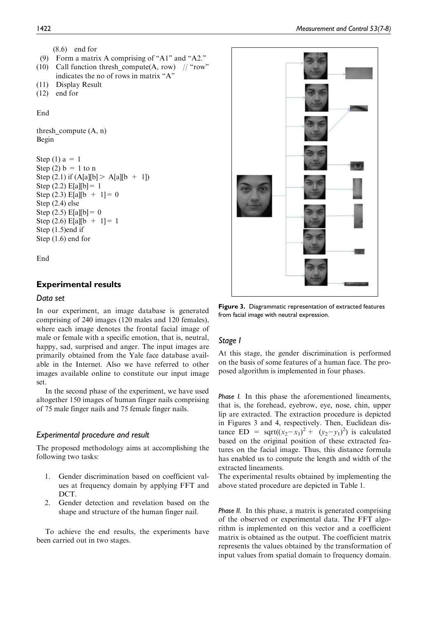```
(8.6) end for
```
- (9) Form a matrix A comprising of ''A1'' and ''A2.''
- (10) Call function thresh compute(A, row) // "row" indicates the no of rows in matrix "A"
- (11) Display Result

```
(12) end for
```
End

thresh\_compute  $(A, n)$ Begin

```
Step (1) a = 1
Step (2) b = 1 to n
Step (2.1) if (A[a][b] > A[a][b + 1])Step (2.2) E[a][b] = 1
Step (2.3) E[a][b + 1] = 0
Step (2.4) else
Step (2.5) E[a][b] = 0
Step (2.6) E[a][b + 1] = 1
Step (1.5)end if
Step (1.6) end for
```
End

## Experimental results

#### Data set

In our experiment, an image database is generated comprising of 240 images (120 males and 120 females), where each image denotes the frontal facial image of male or female with a specific emotion, that is, neutral, happy, sad, surprised and anger. The input images are primarily obtained from the Yale face database available in the Internet. Also we have referred to other images available online to constitute our input image set.

In the second phase of the experiment, we have used altogether 150 images of human finger nails comprising of 75 male finger nails and 75 female finger nails.

#### Experimental procedure and result

The proposed methodology aims at accomplishing the following two tasks:

- 1. Gender discrimination based on coefficient values at frequency domain by applying FFT and DCT.
- 2. Gender detection and revelation based on the shape and structure of the human finger nail.

To achieve the end results, the experiments have been carried out in two stages.



Figure 3. Diagrammatic representation of extracted features from facial image with neutral expression.

#### Stage I

At this stage, the gender discrimination is performed on the basis of some features of a human face. The proposed algorithm is implemented in four phases.

Phase I. In this phase the aforementioned lineaments, that is, the forehead, eyebrow, eye, nose, chin, upper lip are extracted. The extraction procedure is depicted in Figures 3 and 4, respectively. Then, Euclidean distance ED = sqrt $((x_2 - x_1)^2 + (y_2 - y_1)^2)$  is calculated based on the original position of these extracted features on the facial image. Thus, this distance formula has enabled us to compute the length and width of the extracted lineaments.

The experimental results obtained by implementing the above stated procedure are depicted in Table 1.

Phase II. In this phase, a matrix is generated comprising of the observed or experimental data. The FFT algorithm is implemented on this vector and a coefficient matrix is obtained as the output. The coefficient matrix represents the values obtained by the transformation of input values from spatial domain to frequency domain.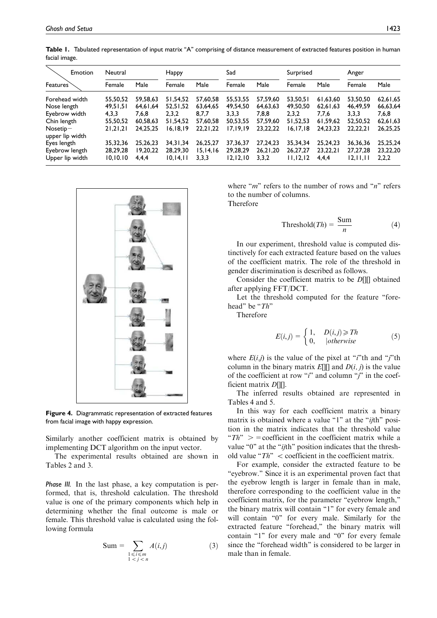| Emotion         | Neutral   |          | Happy      |            | Sad        |            | Surprised  |            | Anger      |          |
|-----------------|-----------|----------|------------|------------|------------|------------|------------|------------|------------|----------|
| <b>Features</b> | Female    | Male     | Female     | Male       | Female     | Male       | Female     | Male       | Female     | Male     |
| Forehead width  | 55,50,52  | 59,58,63 | 51,54,52   | 57,60,58   | 55,53,55   | 57,59,60   | 53,50,51   | 61,63,60   | 53,50,50   | 62,61,65 |
| Nose length     | 49,51,51  | 64.61.64 | 52,51,52   | 63,64,65   | 49,54,50   | 64.63.63   | 49,50,50   | 62,61,63   | 46,49,59   | 66,63,64 |
| Eyebrow width   | 4,3,3     | 7,6,8    | 2,3,2      | 8,7,7      | 3,3,3      | 7,8,8      | 2,3,2      | 7,7,6      | 3,3,3      | 7,6,8    |
| Chin length     | 55,50,52  | 60,58,63 | 51,54,52   | 57,60,58   | 50,53,55   | 57,59,60   | 51,52,53   | 61,59,62   | 52,50,52   | 62,61,63 |
| $N$ osetip $-$  | 21,21,21  | 24,25,25 | 16, 18, 19 | 22, 21, 22 | 17,19,19   | 23, 22, 22 | 16, 17, 18 | 24, 23, 23 | 22,22,21   | 26,25,25 |
| upper lip width |           |          |            |            |            |            |            |            |            |          |
| Eyes length     | 35.32.36  | 25,26,23 | 34,31,34   | 26,25,27   | 37, 36, 37 | 27,24,23   | 35.34.34   | 25,24,23   | 36, 36, 36 | 25,25,24 |
| Eyebrow length  | 28,29,28  | 19,20,22 | 28,29,30   | 15, 14, 16 | 29,28,29   | 26,21,20   | 26, 27, 27 | 23,22,21   | 27, 27, 28 | 23,22,20 |
| Upper lip width | 10, 10.10 | 4,4,4    | 10, 14, 11 | 3,3,3      | 12, 12, 10 | 3,3,2      | 11, 12, 12 | 4,4,4      | 12, 11, 11 | 2,2,2    |

Table 1. Tabulated representation of input matrix "A" comprising of distance measurement of extracted features position in human facial image.



Figure 4. Diagrammatic representation of extracted features from facial image with happy expression.

Similarly another coefficient matrix is obtained by implementing DCT algorithm on the input vector.

The experimental results obtained are shown in Tables 2 and 3.

Phase III. In the last phase, a key computation is performed, that is, threshold calculation. The threshold value is one of the primary components which help in determining whether the final outcome is male or female. This threshold value is calculated using the following formula

$$
Sum = \sum_{\substack{1 \le i \le m \\ 1 < j < n}} A(i,j) \tag{3}
$$

where " $m$ " refers to the number of rows and " $n$ " refers to the number of columns. Therefore

$$
Threshold(Th) = \frac{Sum}{n}
$$
 (4)

In our experiment, threshold value is computed distinctively for each extracted feature based on the values of the coefficient matrix. The role of the threshold in gender discrimination is described as follows.

Consider the coefficient matrix to be D[][] obtained after applying FFT/DCT.

Let the threshold computed for the feature "forehead" be "Th"

Therefore

$$
E(i,j) = \begin{cases} 1, & D(i,j) \geq Th \\ 0, & |otherwise \end{cases}
$$
 (5)

where  $E(i,j)$  is the value of the pixel at "*i*"th and "*j*"th column in the binary matrix  $E[\|]$  and  $D(i, j)$  is the value of the coefficient at row " $i$ " and column " $j$ " in the coefficient matrix D[][].

The inferred results obtained are represented in Tables 4 and 5.

In this way for each coefficient matrix a binary matrix is obtained where a value "1" at the "*ij*th" position in the matrix indicates that the threshold value " $Th$ " > = coefficient in the coefficient matrix while a value "0" at the "*ij*th" position indicates that the threshold value " $Th$ "  $\lt$  coefficient in the coefficient matrix.

For example, consider the extracted feature to be "eyebrow." Since it is an experimental proven fact that the eyebrow length is larger in female than in male, therefore corresponding to the coefficient value in the coefficient matrix, for the parameter ''eyebrow length,'' the binary matrix will contain "1" for every female and will contain "0" for every male. Similarly for the extracted feature "forehead," the binary matrix will contain "1" for every male and "0" for every female since the ''forehead width'' is considered to be larger in male than in female.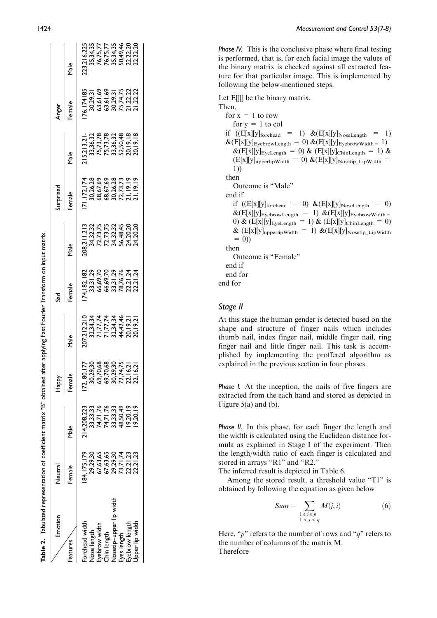| Emotion                                      | Veutral |                                                                      | <b>Adde</b>                                                             |      |       |      | urprised |                                                                               | Anger  |                                                                                        |
|----------------------------------------------|---------|----------------------------------------------------------------------|-------------------------------------------------------------------------|------|-------|------|----------|-------------------------------------------------------------------------------|--------|----------------------------------------------------------------------------------------|
| eatures                                      | emale   | Male                                                                 | emale                                                                   | Male | emale | Male | emale    | Male                                                                          | -emale | Male                                                                                   |
| orehead width                                |         | 14,208,223                                                           | 72, 80, 17                                                              |      |       |      |          |                                                                               |        |                                                                                        |
| lose length                                  |         |                                                                      |                                                                         |      |       |      |          |                                                                               |        |                                                                                        |
| yebrow width                                 |         |                                                                      |                                                                         |      |       |      |          |                                                                               |        |                                                                                        |
| hin length                                   |         |                                                                      |                                                                         |      |       |      |          |                                                                               |        |                                                                                        |
| vosetip–upper li <sup>.</sup><br>Eyes length |         | 33,33,33<br>74,71,76<br>74,71,76<br>33,33,33<br>48,50,49<br>19,20,19 | 30,29,30<br>69,70,68<br>69,70,30,30<br>50,29,30<br>72,16,21<br>22,16,21 |      |       |      |          | 15,213,21<br>33,36,37<br>33,36,37,78<br>75,73,78,8,32<br>70,19,18<br>20,19,18 |        |                                                                                        |
|                                              |         |                                                                      |                                                                         |      |       |      |          |                                                                               |        |                                                                                        |
| vebrow lengt                                 |         |                                                                      |                                                                         |      |       |      |          |                                                                               |        |                                                                                        |
| Ipper lip width                              |         | 9,20,19                                                              |                                                                         |      |       |      |          |                                                                               |        | 223,216,225<br>35,34,35<br>36,75,77<br>76,75,77,34,46,20<br>36,22,22,20<br>50,22,22,20 |
|                                              |         |                                                                      |                                                                         |      |       |      |          |                                                                               |        |                                                                                        |

Table 2. Tabulated representation of coefficient matrix ''B'' obtained after applying Fast Fourier Transform on input matrix.

Table 2. Tabulated representation of coefficient matrix "B" obtained after applying Fast Fourier Transform on input matrix.

Phase IV. This is the conclusive phase where final testing is performed, that is, for each facial image the values of the binary matrix is checked against all extracted feature for that particular image. This is implemented by following the below-mentioned steps.

Let E. be the binary matrix. Then, for  $x = 1$  to row for  $y = 1$  to col if  $((E[x][y]_{\text{forehead}} = 1) \& (E[x][y]_{\text{NoteLength}} = 1)$  $\&\text{(E[x][y]}_{\text{EyebrownLength}} = 0) \&\text{(E[x][y]}_{\text{EyebrownWidth}} = 1)$  $\&\text{(E[x][y]_{EyeLength} = 0) \&\text{(E[x][y]_{ChinLength} = 1) \&}$  $(E[x][y]_{\text{upperlipWidth}} = 0) \& (E[x][y]_{\text{Nosetip\_LipWidth}} =$ 1)) then Outcome is ''Male'' end if if  $((E[x][y])_{\text{forehead}} = 0) \& (E[x][y]_{\text{NoteLength}} = 0)$  $\&\left(\frac{E[x][y]}{EyebrowLength} = 1\right) \&\left(\frac{E[x][y]}{EyebrowWidth}\right)$ 0) &  $(E[x][y]_{EyeLength} = 1)$  &  $(E[x][y]_{ChinLength} = 0)$  $\&$  (E[x][y]<sub>upperlipWidth</sub> = 1)  $\&$ (E[x][y]<sub>Nosetip</sub> LipWidth  $= 0)$ then Outcome is "Female" end if end for end for

#### Stage II

At this stage the human gender is detected based on the shape and structure of finger nails which includes thumb nail, index finger nail, middle finger nail, ring finger nail and little finger nail. This task is accomplished by implementing the proffered algorithm as explained in the previous section in four phases.

Phase I. At the inception, the nails of five fingers are extracted from the each hand and stored as depicted in Figure 5(a) and (b).

Phase II. In this phase, for each finger the length and the width is calculated using the Euclidean distance formula as explained in Stage I of the experiment. Then the length/width ratio of each finger is calculated and stored in arrays "R1" and "R2."

The inferred result is depicted in Table 6.

Among the stored result, a threshold value "T1" is obtained by following the equation as given below

$$
Sum = \sum_{\substack{1 \le i \le p \\ 1 < j < q}} M(j, i) \tag{6}
$$

Here, "p" refers to the number of rows and "q" refers to the number of columns of the matrix M. Therefore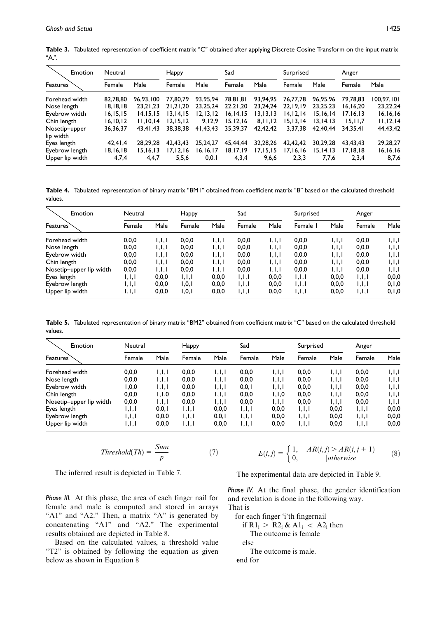| Emotion         | Neutral    |            | Нарру      |            | Sad        |            | Surprised  |            | Anger     |            |
|-----------------|------------|------------|------------|------------|------------|------------|------------|------------|-----------|------------|
| Features        | Female     | Male       | Female     | Male       | Female     | Male       | Female     | Male       | Female    | Male       |
| Forehead width  | 82,78,80   | 96,93,100  | 77,80.79   | 93,95,94   | 78,81,81   | 93,94,95   | 76,77,78   | 96.95.96   | 79,78,83  | 100,97,101 |
| Nose length     | 18, 18, 18 | 23.21.23   | 21.21.20   | 23,25,24   | 22.21.20   | 23.24.24   | 22.19.19   | 23.25.23   | 6.16.20   | 23, 22, 24 |
| Eyebrow width   | 16, 15, 15 | 14.15.15   | 13.14.15   | 12, 13, 12 | 16, 14, 15 | 13.13.13   | 14.12.14   | 15.16.14   | 17.16.13  | 16,16,16   |
| Chin length     | 16, 10, 12 | 11.10.14   | 12, 15, 12 | 9,12,9     | 15, 12, 16 | 8,11,12    | 15, 13, 14 | 13.14.13   | 15, 11, 7 | 11, 12, 14 |
| Nosetip-upper   | 36, 36, 37 | 43.41.43   | 38,38,38   | 41,43,43   | 35,39,37   | 42,42,42   | 3.37.38    | 42,40,44   | 34.35.41  | 44,43,42   |
| lip width       |            |            |            |            |            |            |            |            |           |            |
| Eyes length     | 42,41,4    | 28,29,28   | 42,43,43   | 25,24,27   | 45,44,44   | 32,28,26   | 42,42,42   | 30.29.28   | 43.43.43  | 29,28,27   |
| Eyebrow length  | 18, 16, 18 | 15, 16, 13 | 17, 12, 16 | 16, 16, 17 | 18,17,19   | 17, 15, 15 | 17,16,16   | 15, 14, 13 | 17,18,18  | 16, 16, 16 |
| Upper lip width | 4,7,4      | 4,4,7      | 5,5,6      | 0, 0, 1    | 4,3,4      | 9,6,6      | 2,3,3      | 7,7,6      | 2,3,4     | 8,7,6      |

Table 3. Tabulated representation of coefficient matrix "C" obtained after applying Discrete Cosine Transform on the input matrix  $A$ .".

Table 4. Tabulated representation of binary matrix "BM1" obtained from coefficient matrix "B" based on the calculated threshold values.

| Emotion                 | Neutral |         | Happy   |       | Sad     |         | Surprised |         | Anger   |         |
|-------------------------|---------|---------|---------|-------|---------|---------|-----------|---------|---------|---------|
| <b>Features</b>         | Female  | Male    | Female  | Male  | Female  | Male    | Female    | Male    | Female  | Male    |
| Forehead width          | 0,0,0   | 1,1,1   | 0,0,0   | ا.ا.ا | 0,0,0   | 1, 1, 1 | 0,0,0     | IJJ     | 0,0,0   | 1,1,1   |
| Nose length             | 0,0,0   | 1,1,1   | 0,0,0   | , ,   | 0,0,0   | 1, 1, 1 | 0,0,0     | 1, 1, 1 | 0,0,0   | , ,     |
| Eyebrow width           | 0,0,0   | 1,1,1   | 0,0,0   | , ,   | 0,0,0   | 1, 1, 1 | 0,0,0     | 1,1,1   | 0,0,0   | , ,     |
| Chin length             | 0,0,0   | 1,1,1   | 0,0,0   | IJJ   | 0,0,0   | 1, 1, 1 | 0,0,0     | 1, 1, 1 | 0,0,0   | , ,     |
| Nosetip-upper lip width | 0,0,0   | , ,     | 0,0,0   | 1,1,1 | 0,0,0   | 1, 1, 1 | 0,0,0     | 1, 1, 1 | 0,0,0   | , ,     |
| Eyes length             | , ,     | 0,0,0   | 1, 1, 1 | 0,0,0 | 1, 1, 1 | 0, 0, 0 | 1,1,1     | 0,0,0   | 1, 1, 1 | 0, 0, 0 |
| Eyebrow length          | , ,     | 0.0.0   | 1, 0, 1 | 0,0,0 | 1, 1, 1 | 0.0.0   | 1,1,1     | 0,0,0   | 1, 1, 1 | 0, 1, 0 |
| Upper lip width         | , ,     | 0, 0, 0 | 1, 0, 1 | 0,0,0 | 1,1,1   | 0,0,0   | , ,       | 0,0,0   | 1, 1, 1 | 0, 1, 0 |

Table 5. Tabulated representation of binary matrix "BM2" obtained from coefficient matrix "C" based on the calculated threshold values.

| Emotion                 | Neutral            |         | Happy   |         | Sad     |         | Surprised |       | Anger   |         |
|-------------------------|--------------------|---------|---------|---------|---------|---------|-----------|-------|---------|---------|
| Features <sup>7</sup>   | Female             | Male    | Female  | Male    | Female  | Male    | Female    | Male  | Female  | Male    |
| Forehead width          | 0,0,0              | 1,1,1   | 0,0,0   | 1, 1, 1 | 0,0,0   | 1,1,1   | 0,0,0     | , ,   | 0,0,0   | 1, 1, 1 |
| Nose length             | 0,0,0              | 1,1,1   | 0,0,0   | , ,     | 0,0,0   | 1,1,1   | 0,0,0     | 1,1,1 | 0,0,0   | , ,     |
| Eyebrow width           | 0,0,۱              | 1,1,1   | 0,0,0   | 1,1,1   | 0, 0, 1 | 1,1,1   | 0,0,0     | 1,1,1 | 0,0,0   | , ,     |
| Chin length             | 0,0,0              | 0, 1, 1 | 0.0.0   | 1,1,1   | 0,0,0   | 1, 1, 0 | 0,0,0     | 1,1,1 | 0,0,0   | , ,     |
| Nosetip-upper lip width | 0, 0, 0            | 1,1,1   | 0,0,0   | , ,     | 0,0,0   | 1, 1, 1 | 0,0,0     | 1,1,1 | 0,0,0   | , ,     |
| Eyes length             | $  \,   \,   \,  $ | 0, 0, 1 | 1, 1, 1 | 0,0,0   | 1, 1, 1 | 0,0,0   | 1,1,1     | 0.0.0 | 1, 1, 1 | 0, 0, 0 |
| Eyebrow length          | $  \,   \,   \,  $ | 0.0.0   | 1, 1, 1 | 0, 0, 1 | 1, 1, 1 | 0.0.0   | 1,1,1     | 0.0.0 | 1, 1, 1 | 0, 0, 0 |
| Upper lip width         | I.I.I              | 0,0,0   | 1, 1, 1 | 0,0,0   | 1, 1, 1 | 0,0,0   | 1, 1, 1   | 0,0,0 | 1, 1, 1 | 0,0,0   |

$$
Threshold(Th) = \frac{Sum}{p}
$$
 (7)

$$
E(i,j) = \begin{cases} 1, & AR(i,j) > AR(i,j+1) \\ 0, & \text{otherwise} \end{cases}
$$
 (8)

The inferred result is depicted in Table 7.

The experimental data are depicted in Table 9.

Phase III. At this phase, the area of each finger nail for female and male is computed and stored in arrays "A1" and "A2." Then, a matrix "A" is generated by concatenating "A1" and "A2." The experimental results obtained are depicted in Table 8.

Based on the calculated values, a threshold value "T2" is obtained by following the equation as given below as shown in Equation 8

Phase IV. At the final phase, the gender identification and revelation is done in the following way. That is

for each finger 'i'th fingernail if  $R1_i > R2_i \& A1_i < A2_i$  then The outcome is female else The outcome is male. end for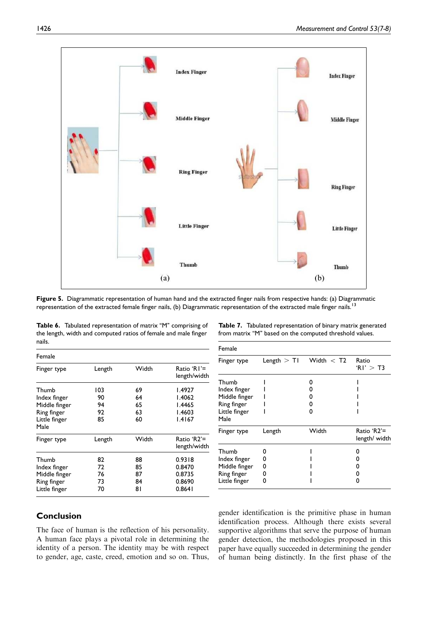

Figure 5. Diagrammatic representation of human hand and the extracted finger nails from respective hands: (a) Diagrammatic representation of the extracted female finger nails, (b) Diagrammatic representation of the extracted male finger nails.<sup>13</sup>

Table 6. Tabulated representation of matrix "M" comprising of the length, width and computed ratios of female and male finger nails.

| Table 7. Tabulated representation of binary matrix generated |
|--------------------------------------------------------------|
| from matrix "M" based on the computed threshold values.      |

| Female                                                                         |                             |                            |                                                |
|--------------------------------------------------------------------------------|-----------------------------|----------------------------|------------------------------------------------|
| Finger type                                                                    | Length                      | Width                      | Ratio 'R I'=<br>length/width                   |
| Thumb<br>Index finger<br>Middle finger<br>Ring finger<br>Little finger<br>Male | 103<br>90<br>94<br>92<br>85 | 69<br>64<br>65<br>63<br>60 | 1.4927<br>1.4062<br>I.4465<br>1.4603<br>1.4167 |
| Finger type                                                                    | Length                      | Width                      | Ratio 'R2'=<br>length/width                    |
| Thumb<br>Index finger<br>Middle finger<br>Ring finger<br>Little finger         | 82<br>72<br>76<br>73<br>70  | 88<br>85<br>87<br>84<br>81 | 0.9318<br>0.8470<br>0.8735<br>0.8690<br>0.8641 |

| Female                       |        |                            |                              |
|------------------------------|--------|----------------------------|------------------------------|
| Finger type                  |        | Length $>$ T1 Width $<$ T2 | Ratio<br>'RI' $>$ T3         |
| Thumb<br>Index finger        |        |                            |                              |
| Middle finger<br>Ring finger |        | o<br>n                     |                              |
| Little finger<br>Male        |        | n                          |                              |
| Finger type                  | Length | Width                      | Ratio 'R2'=<br>length/ width |
| Thumb                        | o      |                            | n                            |
| Index finger                 | 0      |                            |                              |
| Middle finger                | 0      |                            | O                            |
| Ring finger                  | 0      |                            | O                            |
| Little finger                | 0      |                            |                              |

## Conclusion

The face of human is the reflection of his personality. A human face plays a pivotal role in determining the identity of a person. The identity may be with respect to gender, age, caste, creed, emotion and so on. Thus, gender identification is the primitive phase in human identification process. Although there exists several supportive algorithms that serve the purpose of human gender detection, the methodologies proposed in this paper have equally succeeded in determining the gender of human being distinctly. In the first phase of the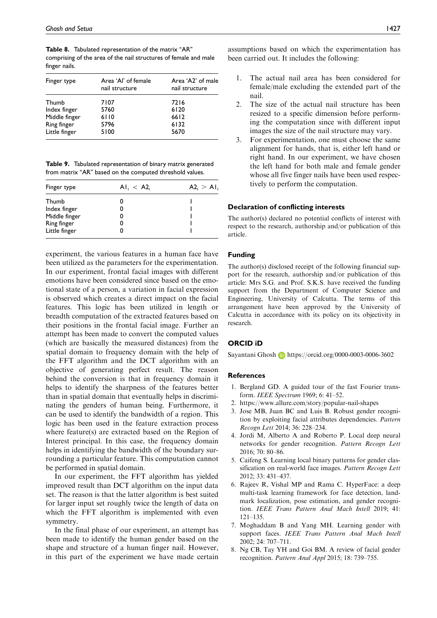Table 8. Tabulated representation of the matrix "AR" comprising of the area of the nail structures of female and male finger nails.

| Finger type   | Area 'Al' of female<br>nail structure | Area 'A2' of male<br>nail structure |
|---------------|---------------------------------------|-------------------------------------|
| Thumb         | 7107                                  | 7216                                |
| Index finger  | 5760                                  | 6120                                |
| Middle finger | 6110                                  | 6612                                |
| Ring finger   | 5796                                  | 6132                                |
| Little finger | 5100                                  | 5670                                |

Table 9. Tabulated representation of binary matrix generated from matrix "AR" based on the computed threshold values.

| Finger type   | $\text{Al}_{i} < \text{Al}_{i}$ | $A2_i > A1$ |
|---------------|---------------------------------|-------------|
| Thumb         |                                 |             |
| Index finger  |                                 |             |
| Middle finger |                                 |             |
| Ring finger   |                                 |             |
| Little finger |                                 |             |

experiment, the various features in a human face have been utilized as the parameters for the experimentation. In our experiment, frontal facial images with different emotions have been considered since based on the emotional state of a person, a variation in facial expression is observed which creates a direct impact on the facial features. This logic has been utilized in length or breadth computation of the extracted features based on their positions in the frontal facial image. Further an attempt has been made to convert the computed values (which are basically the measured distances) from the spatial domain to frequency domain with the help of the FFT algorithm and the DCT algorithm with an objective of generating perfect result. The reason behind the conversion is that in frequency domain it helps to identify the sharpness of the features better than in spatial domain that eventually helps in discriminating the genders of human being. Furthermore, it can be used to identify the bandwidth of a region. This logic has been used in the feature extraction process where feature(s) are extracted based on the Region of Interest principal. In this case, the frequency domain helps in identifying the bandwidth of the boundary surrounding a particular feature. This computation cannot be performed in spatial domain.

In our experiment, the FFT algorithm has yielded improved result than DCT algorithm on the input data set. The reason is that the latter algorithm is best suited for larger input set roughly twice the length of data on which the FFT algorithm is implemented with even symmetry.

In the final phase of our experiment, an attempt has been made to identify the human gender based on the shape and structure of a human finger nail. However, in this part of the experiment we have made certain assumptions based on which the experimentation has been carried out. It includes the following:

- The actual nail area has been considered for female/male excluding the extended part of the nail.
- 2. The size of the actual nail structure has been resized to a specific dimension before performing the computation since with different input images the size of the nail structure may vary.
- 3. For experimentation, one must choose the same alignment for hands, that is, either left hand or right hand. In our experiment, we have chosen the left hand for both male and female gender whose all five finger nails have been used respectively to perform the computation.

#### Declaration of conflicting interests

The author(s) declared no potential conflicts of interest with respect to the research, authorship and/or publication of this article.

#### Funding

The author(s) disclosed receipt of the following financial support for the research, authorship and/or publication of this article: Mrs S.G. and Prof. S.K.S. have received the funding support from the Department of Computer Science and Engineering, University of Calcutta. The terms of this arrangement have been approved by the University of Calcutta in accordance with its policy on its objectivity in research.

#### ORCID iD

Sayantani Ghosh **b** https://orcid.org/0000-0003-0006-3602

#### References

- 1. Bergland GD. A guided tour of the fast Fourier transform. IEEE Spectrum 1969; 6: 41–52.
- 2. https://www.allure.com/story/popular-nail-shapes
- 3. Jose MB, Juan BC and Luis B. Robust gender recognition by exploiting facial attributes dependencies. Pattern Recogn Lett 2014; 36: 228–234.
- 4. Jordi M, Alberto A and Roberto P. Local deep neural networks for gender recognition. Pattern Recogn Lett 2016; 70: 80–86.
- 5. Caifeng S. Learning local binary patterns for gender classification on real-world face images. Pattern Recogn Lett 2012; 33: 431–437.
- 6. Rajeev R, Vishal MP and Rama C. HyperFace: a deep multi-task learning framework for face detection, landmark localization, pose estimation, and gender recognition. IEEE Trans Pattern Anal Mach Intell 2019; 41: 121–135.
- 7. Moghaddam B and Yang MH. Learning gender with support faces. IEEE Trans Pattern Anal Mach Intell 2002; 24: 707–711.
- 8. Ng CB, Tay YH and Goi BM. A review of facial gender recognition. Pattern Anal Appl 2015; 18: 739–755.